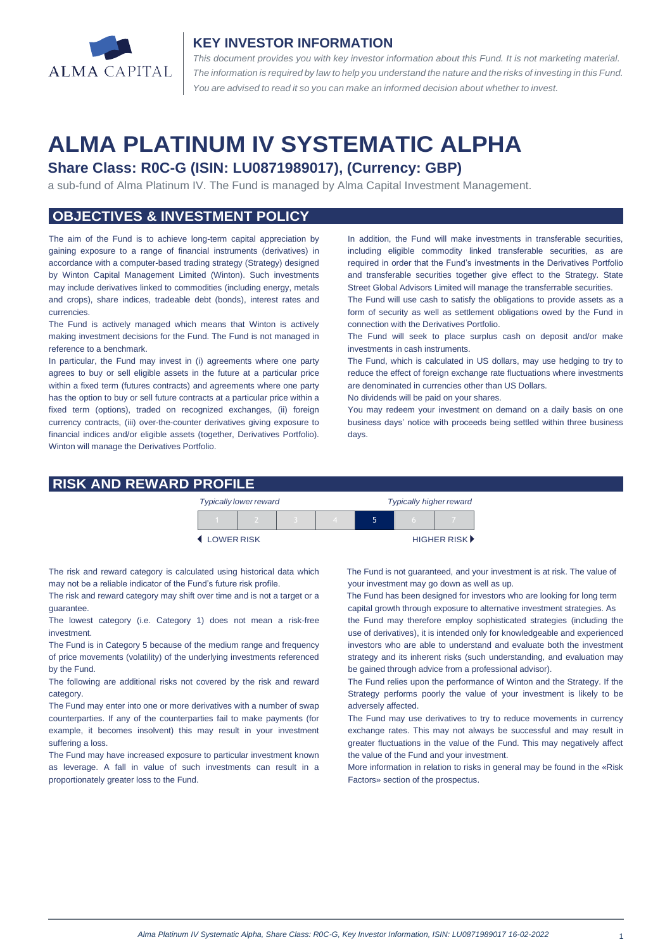

#### **KEY INVESTOR INFORMATION**

*This document provides you with key investor information about this Fund. It is not marketing material.*  The information is required by law to help you understand the nature and the risks of investing in this Fund. *You are advised to read it so you can make an informed decision about whether to invest.*

# **ALMA PLATINUM IV SYSTEMATIC ALPHA**

## **Share Class: R0C-G (ISIN: LU0871989017), (Currency: GBP)**

a sub-fund of Alma Platinum IV. The Fund is managed by Alma Capital Investment Management.

## **OBJECTIVES & INVESTMENT POLICY**

The aim of the Fund is to achieve long-term capital appreciation by gaining exposure to a range of financial instruments (derivatives) in accordance with a computer-based trading strategy (Strategy) designed by Winton Capital Management Limited (Winton). Such investments may include derivatives linked to commodities (including energy, metals and crops), share indices, tradeable debt (bonds), interest rates and currencies.

The Fund is actively managed which means that Winton is actively making investment decisions for the Fund. The Fund is not managed in reference to a benchmark.

In particular, the Fund may invest in (i) agreements where one party agrees to buy or sell eligible assets in the future at a particular price within a fixed term (futures contracts) and agreements where one party has the option to buy or sell future contracts at a particular price within a fixed term (options), traded on recognized exchanges, (ii) foreign currency contracts, (iii) over-the-counter derivatives giving exposure to financial indices and/or eligible assets (together, Derivatives Portfolio). Winton will manage the Derivatives Portfolio.

In addition, the Fund will make investments in transferable securities, including eligible commodity linked transferable securities, as are required in order that the Fund's investments in the Derivatives Portfolio and transferable securities together give effect to the Strategy. State Street Global Advisors Limited will manage the transferrable securities.

The Fund will use cash to satisfy the obligations to provide assets as a form of security as well as settlement obligations owed by the Fund in connection with the Derivatives Portfolio.

The Fund will seek to place surplus cash on deposit and/or make investments in cash instruments.

The Fund, which is calculated in US dollars, may use hedging to try to reduce the effect of foreign exchange rate fluctuations where investments are denominated in currencies other than US Dollars.

No dividends will be paid on your shares.

You may redeem your investment on demand on a daily basis on one business days' notice with proceeds being settled within three business days.

#### **RISK AND REWARD PROFILE**

|                     | <b>Typically lower reward</b> |  | <b>Typically higher reward</b> |  |  |                             |
|---------------------|-------------------------------|--|--------------------------------|--|--|-----------------------------|
|                     |                               |  |                                |  |  |                             |
| <b>4 LOWER RISK</b> |                               |  |                                |  |  | HIGHER RISK <sup>&gt;</sup> |

The risk and reward category is calculated using historical data which may not be a reliable indicator of the Fund's future risk profile.

The risk and reward category may shift over time and is not a target or a guarantee.

The lowest category (i.e. Category 1) does not mean a risk-free investment.

The Fund is in Category 5 because of the medium range and frequency of price movements (volatility) of the underlying investments referenced by the Fund.

The following are additional risks not covered by the risk and reward category.

The Fund may enter into one or more derivatives with a number of swap counterparties. If any of the counterparties fail to make payments (for example, it becomes insolvent) this may result in your investment suffering a loss.

The Fund may have increased exposure to particular investment known as leverage. A fall in value of such investments can result in a proportionately greater loss to the Fund.

 The Fund is not guaranteed, and your investment is at risk. The value of your investment may go down as well as up.

 The Fund has been designed for investors who are looking for long term capital growth through exposure to alternative investment strategies. As

the Fund may therefore employ sophisticated strategies (including the use of derivatives), it is intended only for knowledgeable and experienced investors who are able to understand and evaluate both the investment strategy and its inherent risks (such understanding, and evaluation may be gained through advice from a professional advisor).

The Fund relies upon the performance of Winton and the Strategy. If the Strategy performs poorly the value of your investment is likely to be adversely affected.

The Fund may use derivatives to try to reduce movements in currency exchange rates. This may not always be successful and may result in greater fluctuations in the value of the Fund. This may negatively affect the value of the Fund and your investment.

More information in relation to risks in general may be found in the «Risk Factors» section of the prospectus.